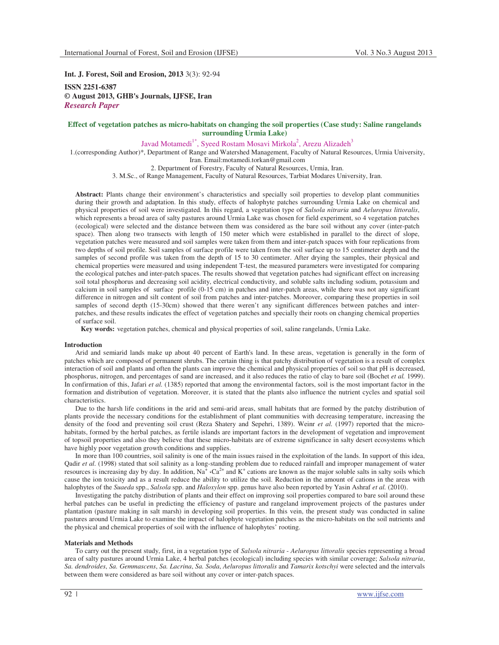**Int. J. Forest, Soil and Erosion, 2013** 3(3): 92-94

**ISSN 2251-6387 © August 2013, GHB's Journals, IJFSE, Iran** *Research Paper* 

# **Effect of vegetation patches as micro-habitats on changing the soil properties (Case study: Saline rangelands surrounding Urmia Lake)**

Javad Motamedi $1^*$ , Syeed Rostam Mosavi Mirkola $^2$ , Arezu Alizadeh $^3$ 

1.(corresponding Author)\*, Department of Range and Watershed Management, Faculty of Natural Resources, Urmia University, Iran. Email:motamedi.torkan@gmail.com

2. Department of Forestry, Faculty of Natural Resources, Urmia, Iran.

3. M.Sc., of Range Management, Faculty of Natural Resources, Tarbiat Modares University, Iran.

**Abstract:** Plants change their environment's characteristics and specially soil properties to develop plant communities during their growth and adaptation. In this study, effects of halophyte patches surrounding Urmia Lake on chemical and physical properties of soil were investigated. In this regard, a vegetation type of *Salsola nitraria* and *Aeluropus littoralis*, which represents a broad area of salty pastures around Urmia Lake was chosen for field experiment, so 4 vegetation patches (ecological) were selected and the distance between them was considered as the bare soil without any cover (inter-patch space). Then along two transects with length of 150 meter which were established in parallel to the direct of slope, vegetation patches were measured and soil samples were taken from them and inter-patch spaces with four replications from two depths of soil profile. Soil samples of surface profile were taken from the soil surface up to 15 centimeter depth and the samples of second profile was taken from the depth of 15 to 30 centimeter. After drying the samples, their physical and chemical properties were measured and using independent T-test, the measured parameters were investigated for comparing the ecological patches and inter-patch spaces. The results showed that vegetation patches had significant effect on increasing soil total phosphorus and decreasing soil acidity, electrical conductivity, and soluble salts including sodium, potassium and calcium in soil samples of surface profile (0-15 cm) in patches and inter-patch areas, while there was not any significant difference in nitrogen and silt content of soil from patches and inter-patches. Moreover, comparing these properties in soil samples of second depth (15-30cm) showed that there weren't any significant differences between patches and interpatches, and these results indicates the effect of vegetation patches and specially their roots on changing chemical properties of surface soil.

**Key words:** vegetation patches, chemical and physical properties of soil, saline rangelands, Urmia Lake.

### **Introduction**

Arid and semiarid lands make up about 40 percent of Earth's land. In these areas, vegetation is generally in the form of patches which are composed of permanent shrubs. The certain thing is that patchy distribution of vegetation is a result of complex interaction of soil and plants and often the plants can improve the chemical and physical properties of soil so that pH is decreased, phosphorus, nitrogen, and percentages of sand are increased, and it also reduces the ratio of clay to bare soil (Bochet *et al.* 1999). In confirmation of this, Jafari *et al.* (1385) reported that among the environmental factors, soil is the most important factor in the formation and distribution of vegetation. Moreover, it is stated that the plants also influence the nutrient cycles and spatial soil characteristics.

Due to the harsh life conditions in the arid and semi-arid areas, small habitats that are formed by the patchy distribution of plants provide the necessary conditions for the establishment of plant communities with decreasing temperature, increasing the density of the food and preventing soil crust (Reza Shatery and Sepehri, 1389). Weinr *et al.* (1997) reported that the microhabitats, formed by the herbal patches, as fertile islands are important factors in the development of vegetation and improvement of topsoil properties and also they believe that these micro-habitats are of extreme significance in salty desert ecosystems which have highly poor vegetation growth conditions and supplies.

In more than 100 countries, soil salinity is one of the main issues raised in the exploitation of the lands. In support of this idea, Qadir *et al.* (1998) stated that soil salinity as a long-standing problem due to reduced rainfall and improper management of water resources is increasing day by day. In addition,  $Na^4$   $\cdot Ca^{2+}$  and  $K^+$  cations are known as the major soluble salts in salty soils which cause the ion toxicity and as a result reduce the ability to utilize the soil. Reduction in the amount of cations in the areas with halophytes of the *Suaeda* spp., *Salsola* spp. and *Haloxylon* spp. genus have also been reported by Yasin Ashraf *et al.* (2010).

Investigating the patchy distribution of plants and their effect on improving soil properties compared to bare soil around these herbal patches can be useful in predicting the efficiency of pasture and rangeland improvement projects of the pastures under plantation (pasture making in salt marsh) in developing soil properties. In this vein, the present study was conducted in saline pastures around Urmia Lake to examine the impact of halophyte vegetation patches as the micro-habitats on the soil nutrients and the physical and chemical properties of soil with the influence of halophytes' rooting.

#### **Materials and Methods**

To carry out the present study, first, in a vegetation type of *Salsola nitraria* - *Aeluropus littoralis* species representing a broad area of salty pastures around Urmia Lake, 4 herbal patches (ecological) including species with similar coverage; *Salsola nitraria*, *Sa. dendroides*, *Sa. Gemmascens*, *Sa. Lacrina*, *Sa. Soda*, *Aeluropus littoralis* and *Tamarix kotschyi* were selected and the intervals between them were considered as bare soil without any cover or inter-patch spaces.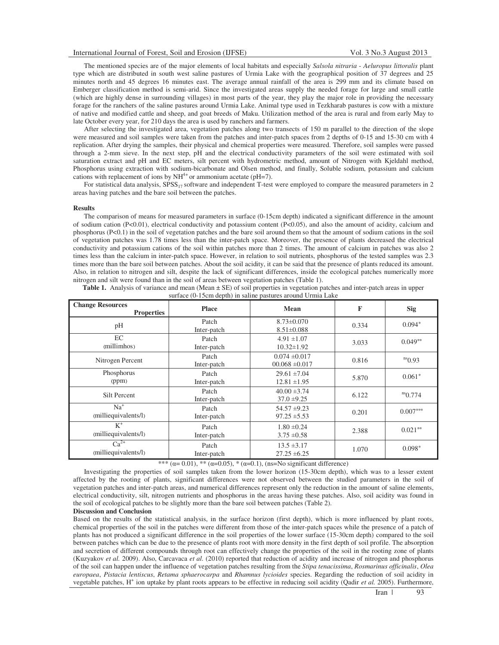The mentioned species are of the major elements of local habitats and especially *Salsola nitraria* - *Aeluropus littoralis* plant type which are distributed in south west saline pastures of Urmia Lake with the geographical position of 37 degrees and 25 minutes north and 45 degrees 16 minutes east. The average annual rainfall of the area is 299 mm and its climate based on Emberger classification method is semi-arid. Since the investigated areas supply the needed forage for large and small cattle (which are highly dense in surrounding villages) in most parts of the year, they play the major role in providing the necessary forage for the ranchers of the saline pastures around Urmia Lake. Animal type used in Tezkharab pastures is cow with a mixture of native and modified cattle and sheep, and goat breeds of Maku. Utilization method of the area is rural and from early May to late October every year, for 210 days the area is used by ranchers and farmers.

After selecting the investigated area, vegetation patches along two transects of 150 m parallel to the direction of the slope were measured and soil samples were taken from the patches and inter-patch spaces from 2 depths of 0-15 and 15-30 cm with 4 replication. After drying the samples, their physical and chemical properties were measured. Therefore, soil samples were passed through a 2-mm sieve. In the next step, pH and the electrical conductivity parameters of the soil were estimated with soil saturation extract and pH and EC meters, silt percent with hydrometric method, amount of Nitrogen with Kjeldahl method, Phosphorus using extraction with sodium-bicarbonate and Olsen method, and finally, Soluble sodium, potassium and calcium cations with replacement of ions by  $NH^{4+}$  or ammonium acetate (pH=7).

For statistical data analysis,  $SPSS_{17}$  software and independent T-test were employed to compare the measured parameters in 2 areas having patches and the bare soil between the patches.

#### **Results**

The comparison of means for measured parameters in surface (0-15cm depth) indicated a significant difference in the amount of sodium cation (P<0.01), electrical conductivity and potassium content (P<0.05), and also the amount of acidity, calcium and phosphorus (P<0.1) in the soil of vegetation patches and the bare soil around them so that the amount of sodium cations in the soil of vegetation patches was 1.78 times less than the inter-patch space. Moreover, the presence of plants decreased the electrical conductivity and potassium cations of the soil within patches more than 2 times. The amount of calcium in patches was also 2 times less than the calcium in inter-patch space. However, in relation to soil nutrients, phosphorus of the tested samples was 2.3 times more than the bare soil between patches. About the soil acidity, it can be said that the presence of plants reduced its amount. Also, in relation to nitrogen and silt, despite the lack of significant differences, inside the ecological patches numerically more nitrogen and silt were found than in the soil of areas between vegetation patches (Table 1).

| $54.148$ $\sigma$ 150m applit) in summer pustures around Oriniu Bune |                      |                                         |       |                       |  |  |  |  |
|----------------------------------------------------------------------|----------------------|-----------------------------------------|-------|-----------------------|--|--|--|--|
| <b>Change Resources</b><br><b>Properties</b>                         | <b>Place</b>         | Mean                                    | F     | <b>Sig</b>            |  |  |  |  |
| pH                                                                   | Patch<br>Inter-patch | $8.73 \pm 0.070$<br>$8.51 \pm 0.088$    | 0.334 | $0.094*$              |  |  |  |  |
| EC<br>(millimhos)                                                    | Patch<br>Inter-patch | $4.91 \pm 1.07$<br>$10.32 \pm 1.92$     | 3.033 | $0.049$ <sup>**</sup> |  |  |  |  |
| Nitrogen Percent                                                     | Patch<br>Inter-patch | $0.074 \pm 0.017$<br>$00.068 \pm 0.017$ | 0.816 | $^{ns}$ 0.93          |  |  |  |  |
| Phosphorus<br>(ppm)                                                  | Patch<br>Inter-patch | $29.61 \pm 7.04$<br>$12.81 \pm 1.95$    | 5.870 | $0.061^*$             |  |  |  |  |
| Silt Percent                                                         | Patch<br>Inter-patch | $40.00 \pm 3.74$<br>$37.0 \pm 9.25$     | 6.122 | $m$ <sup>0.774</sup>  |  |  |  |  |
| $Na+$<br>(milliequivalents/l)                                        | Patch<br>Inter-patch | $54.57 \pm 9.23$<br>$97.25 \pm 5.53$    | 0.201 | $0.007***$            |  |  |  |  |
| $K^+$<br>(milliequivalents/l)                                        | Patch<br>Inter-patch | $1.80 \pm 0.24$<br>$3.75 \pm 0.58$      | 2.388 | $0.021$ <sup>**</sup> |  |  |  |  |
| $Ca^{2+}$<br>(milliequivalents/l)                                    | Patch<br>Inter-patch | $13.5 \pm 3.17$<br>$27.25 \pm 6.25$     | 1.070 | $0.098*$              |  |  |  |  |

**Table 1.** Analysis of variance and mean (Mean  $\pm$  SE) of soil properties in vegetation patches and inter-patch areas in upper surface (0-15cm depth) in saline pastures around Urmia Lake

\*\*\* ( $\alpha$ = 0.01), \*\* ( $\alpha$ = 0.05), \* ( $\alpha$ = 0.1), (ns=No significant difference)

Investigating the properties of soil samples taken from the lower horizon (15-30cm depth), which was to a lesser extent affected by the rooting of plants, significant differences were not observed between the studied parameters in the soil of vegetation patches and inter-patch areas, and numerical differences represent only the reduction in the amount of saline elements, electrical conductivity, silt, nitrogen nutrients and phosphorus in the areas having these patches. Also, soil acidity was found in the soil of ecological patches to be slightly more than the bare soil between patches (Table 2).

## **Discussion and Conclusion**

Based on the results of the statistical analysis, in the surface horizon (first depth), which is more influenced by plant roots, chemical properties of the soil in the patches were different from those of the inter-patch spaces while the presence of a patch of plants has not produced a significant difference in the soil properties of the lower surface (15-30cm depth) compared to the soil between patches which can be due to the presence of plants root with more density in the first depth of soil profile. The absorption and secretion of different compounds through root can effectively change the properties of the soil in the rooting zone of plants (Kuzyakov *et al.* 2009). Also, Carcavaca *et al.* (2010) reported that reduction of acidity and increase of nitrogen and phosphorus of the soil can happen under the influence of vegetation patches resulting from the *Stipa tenacissima*, *Rosmarinus officinalis*, *Olea europaea*, *Pistacia lentiscus*, *Retama sphaerocarpa* and *Rhamnus lycioides* species. Regarding the reduction of soil acidity in vegetable patches, H<sup>+</sup> ion uptake by plant roots appears to be effective in reducing soil acidity (Qadir *et al.* 2005). Furthermore,